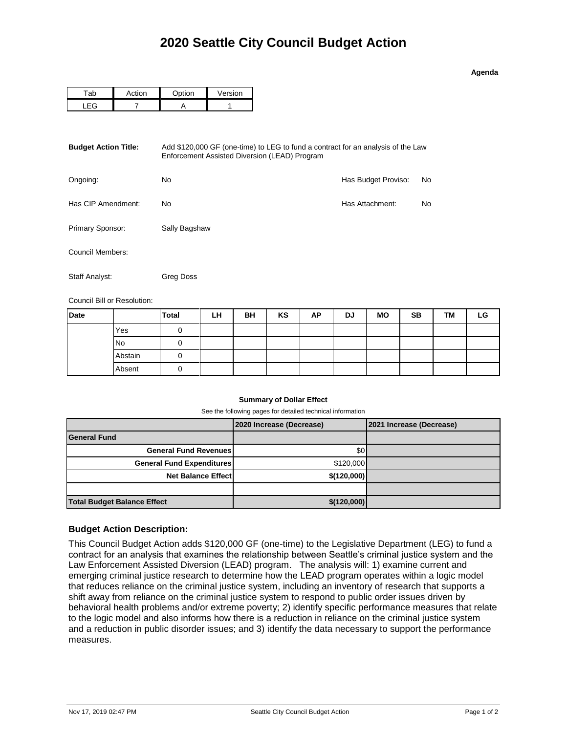## **Agenda**

| $-1$ or | $\sim$ tion | Version |  |  |
|---------|-------------|---------|--|--|
|         |             |         |  |  |

| <b>Budget Action Title:</b> | Add \$120,000 GF (one-time) to LEG to fund a contract for an analysis of the Law<br>Enforcement Assisted Diversion (LEAD) Program |                     |    |  |  |  |
|-----------------------------|-----------------------------------------------------------------------------------------------------------------------------------|---------------------|----|--|--|--|
| Ongoing:                    | No.                                                                                                                               | Has Budget Proviso: | No |  |  |  |
| Has CIP Amendment:          | No.                                                                                                                               | Has Attachment:     | No |  |  |  |
| Primary Sponsor:            | Sally Bagshaw                                                                                                                     |                     |    |  |  |  |
| Council Members:            |                                                                                                                                   |                     |    |  |  |  |
| Staff Analyst:              | Greg Doss                                                                                                                         |                     |    |  |  |  |

Council Bill or Resolution:

| <b>Date</b> |           | Total | LH | BH | KS | AP | <b>DJ</b> | <b>MO</b> | <b>SB</b> | TM | LG |
|-------------|-----------|-------|----|----|----|----|-----------|-----------|-----------|----|----|
|             | Yes       |       |    |    |    |    |           |           |           |    |    |
|             | <b>No</b> |       |    |    |    |    |           |           |           |    |    |
|             | Abstain   |       |    |    |    |    |           |           |           |    |    |
|             | Absent    |       |    |    |    |    |           |           |           |    |    |

## **Summary of Dollar Effect**

See the following pages for detailed technical information

|                                    | 2020 Increase (Decrease) | 2021 Increase (Decrease) |
|------------------------------------|--------------------------|--------------------------|
| <b>General Fund</b>                |                          |                          |
| <b>General Fund Revenues</b>       | \$0 <sub>1</sub>         |                          |
| <b>General Fund Expenditures</b>   | \$120,000                |                          |
| <b>Net Balance Effect</b>          | \$(120,000)              |                          |
|                                    |                          |                          |
| <b>Total Budget Balance Effect</b> | \$(120,000)              |                          |

## **Budget Action Description:**

This Council Budget Action adds \$120,000 GF (one-time) to the Legislative Department (LEG) to fund a contract for an analysis that examines the relationship between Seattle's criminal justice system and the Law Enforcement Assisted Diversion (LEAD) program. The analysis will: 1) examine current and emerging criminal justice research to determine how the LEAD program operates within a logic model that reduces reliance on the criminal justice system, including an inventory of research that supports a shift away from reliance on the criminal justice system to respond to public order issues driven by behavioral health problems and/or extreme poverty; 2) identify specific performance measures that relate to the logic model and also informs how there is a reduction in reliance on the criminal justice system and a reduction in public disorder issues; and 3) identify the data necessary to support the performance measures.